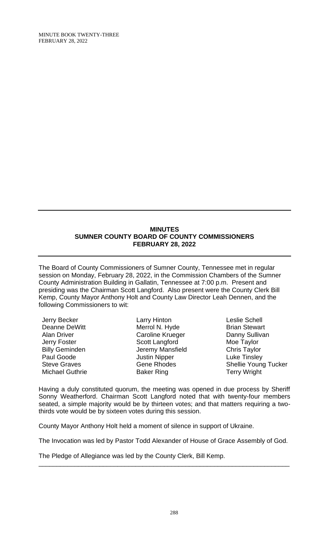MINUTE BOOK TWENTY-THREE FEBRUARY 28, 2022

#### **MINUTES SUMNER COUNTY BOARD OF COUNTY COMMISSIONERS FEBRUARY 28, 2022**

The Board of County Commissioners of Sumner County, Tennessee met in regular session on Monday, February 28, 2022, in the Commission Chambers of the Sumner County Administration Building in Gallatin, Tennessee at 7:00 p.m. Present and presiding was the Chairman Scott Langford. Also present were the County Clerk Bill Kemp, County Mayor Anthony Holt and County Law Director Leah Dennen, and the following Commissioners to wit:

Jerry Becker Deanne DeWitt Alan Driver Jerry Foster Billy Geminden Paul Goode Steve Graves Michael Guthrie Larry Hinton Merrol N. Hyde Caroline Krueger Scott Langford Jeremy Mansfield Justin Nipper Gene Rhodes Baker Ring

Leslie Schell Brian Stewart Danny Sullivan Moe Taylor Chris Taylor Luke Tinsley Shellie Young Tucker Terry Wright

Having a duly constituted quorum, the meeting was opened in due process by Sheriff Sonny Weatherford. Chairman Scott Langford noted that with twenty-four members seated, a simple majority would be by thirteen votes; and that matters requiring a twothirds vote would be by sixteen votes during this session.

County Mayor Anthony Holt held a moment of silence in support of Ukraine.

The Invocation was led by Pastor Todd Alexander of House of Grace Assembly of God.

\_\_\_\_\_\_\_\_\_\_\_\_\_\_\_\_\_\_\_\_\_\_\_\_\_\_\_\_\_\_\_\_\_\_\_\_\_\_\_\_\_\_\_\_\_\_\_\_\_\_\_\_\_\_\_\_\_\_\_\_\_\_\_\_\_\_\_\_\_\_

The Pledge of Allegiance was led by the County Clerk, Bill Kemp.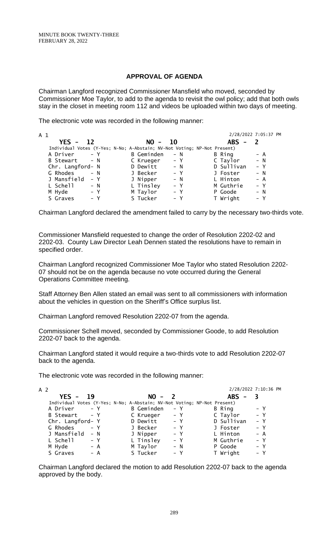### **APPROVAL OF AGENDA**

Chairman Langford recognized Commissioner Mansfield who moved, seconded by Commissioner Moe Taylor, to add to the agenda to revisit the owl policy; add that both owls stay in the closet in meeting room 112 and videos be uploaded within two days of meeting.

The electronic vote was recorded in the following manner:

| A 1 |                  |       |            |                                                                          |            | 2/28/2022 7:05:37 PM |
|-----|------------------|-------|------------|--------------------------------------------------------------------------|------------|----------------------|
|     | $YFS - 12$       |       | $NO -$     | <b>10</b>                                                                | $ABS -$    |                      |
|     |                  |       |            | Individual Votes (Y-Yes; N-No; A-Abstain; NV-Not Voting; NP-Not Present) |            |                      |
|     | A Driver         | $- Y$ | B Geminden | $- N$                                                                    | B Ring     | – A                  |
|     | B Stewart - N    |       | C Krueger  | $- Y$                                                                    | C Taylor   | $- N$                |
|     | Chr. Langford- N |       | D Dewitt   | $- N$                                                                    | D Sullivan | $- Y$                |
|     | G Rhodes         | $- N$ | J Becker   | $- Y$                                                                    | J Foster   | $- N$                |
|     | J Mansfield      | $- Y$ | J Nipper   | $- N$                                                                    | L Hinton   | $- A$                |
|     | L Schell         | $- N$ | L Tinsley  | $- Y$                                                                    | M Guthrie  | $- Y$                |
|     | M Hyde           | – Y   | M Taylor   | $- Y$                                                                    | P Goode    | $- N$                |
|     | S Graves         | $- Y$ | S Tucker   | – Y                                                                      | T Wright   | $- Y$                |

Chairman Langford declared the amendment failed to carry by the necessary two-thirds vote.

Commissioner Mansfield requested to change the order of Resolution 2202-02 and 2202-03. County Law Director Leah Dennen stated the resolutions have to remain in specified order.

Chairman Langford recognized Commissioner Moe Taylor who stated Resolution 2202- 07 should not be on the agenda because no vote occurred during the General Operations Committee meeting.

Staff Attorney Ben Allen stated an email was sent to all commissioners with information about the vehicles in question on the Sheriff's Office surplus list.

Chairman Langford removed Resolution 2202-07 from the agenda.

Commissioner Schell moved, seconded by Commissioner Goode, to add Resolution 2202-07 back to the agenda.

Chairman Langford stated it would require a two-thirds vote to add Resolution 2202-07 back to the agenda.

The electronic vote was recorded in the following manner:

| A 2              |       |                                                                          |       |                                        | 2/28/2022 7:10:36 PM |
|------------------|-------|--------------------------------------------------------------------------|-------|----------------------------------------|----------------------|
| $YES -$          | 19    | $NO -$                                                                   |       | <b>ABS</b><br>$\overline{\phantom{m}}$ |                      |
|                  |       | Individual Votes (Y-Yes; N-No; A-Abstain; NV-Not Voting; NP-Not Present) |       |                                        |                      |
| A Driver         | $- Y$ | <b>B</b> Geminden                                                        | – Y   | B Ring                                 | – Y                  |
| B Stewart - Y    |       | C Krueger                                                                | – Y   | C Taylor                               | $- Y$                |
| Chr. Langford- Y |       | D Dewitt                                                                 | $- Y$ | D Sullivan                             | $- Y$                |
| G Rhodes         | $- Y$ | J Becker                                                                 | $- Y$ | J Foster                               | $- Y$                |
| J Mansfield      | $- N$ | J Nipper                                                                 | $- Y$ | L Hinton                               | $- A$                |
| L Schell         | – Y   | L Tinsley                                                                | $- Y$ | M Guthrie                              | – Y                  |
| M Hyde           | $- A$ | M Taylor                                                                 | $- N$ | P Goode                                | $- Y$                |
| S Graves         | – A   | S Tucker                                                                 | – Y   | T Wright                               | $- Y$                |

Chairman Langford declared the motion to add Resolution 2202-07 back to the agenda approved by the body.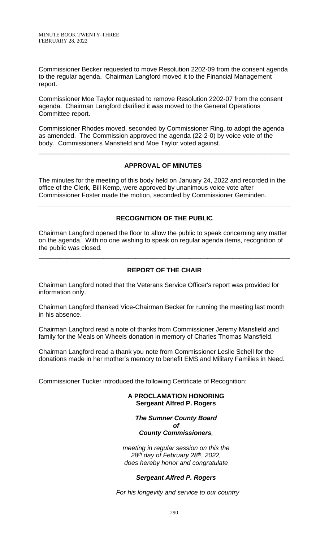Commissioner Becker requested to move Resolution 2202-09 from the consent agenda to the regular agenda. Chairman Langford moved it to the Financial Management report.

Commissioner Moe Taylor requested to remove Resolution 2202-07 from the consent agenda. Chairman Langford clarified it was moved to the General Operations Committee report.

Commissioner Rhodes moved, seconded by Commissioner Ring, to adopt the agenda as amended. The Commission approved the agenda (22-2-0) by voice vote of the body. Commissioners Mansfield and Moe Taylor voted against.

## **APPROVAL OF MINUTES**

\_\_\_\_\_\_\_\_\_\_\_\_\_\_\_\_\_\_\_\_\_\_\_\_\_\_\_\_\_\_\_\_\_\_\_\_\_\_\_\_\_\_\_\_\_\_\_\_\_\_\_\_\_\_\_\_\_\_\_\_\_\_\_\_\_\_\_\_\_\_

The minutes for the meeting of this body held on January 24, 2022 and recorded in the office of the Clerk, Bill Kemp, were approved by unanimous voice vote after Commissioner Foster made the motion, seconded by Commissioner Geminden.

# **RECOGNITION OF THE PUBLIC**

Chairman Langford opened the floor to allow the public to speak concerning any matter on the agenda. With no one wishing to speak on regular agenda items, recognition of the public was closed.

\_\_\_\_\_\_\_\_\_\_\_\_\_\_\_\_\_\_\_\_\_\_\_\_\_\_\_\_\_\_\_\_\_\_\_\_\_\_\_\_\_\_\_\_\_\_\_\_\_\_\_\_\_\_\_\_\_\_\_\_\_\_\_\_\_\_\_\_\_\_

# **REPORT OF THE CHAIR**

Chairman Langford noted that the Veterans Service Officer's report was provided for information only.

Chairman Langford thanked Vice-Chairman Becker for running the meeting last month in his absence.

Chairman Langford read a note of thanks from Commissioner Jeremy Mansfield and family for the Meals on Wheels donation in memory of Charles Thomas Mansfield.

Chairman Langford read a thank you note from Commissioner Leslie Schell for the donations made in her mother's memory to benefit EMS and Military Families in Need.

Commissioner Tucker introduced the following Certificate of Recognition:

**A PROCLAMATION HONORING Sergeant Alfred P. Rogers**

#### *The Sumner County Board of County Commissioners,*

*meeting in regular session on this the 28 th day of February 28th , 2022, does hereby honor and congratulate*

## *Sergeant Alfred P. Rogers*

*For his longevity and service to our country*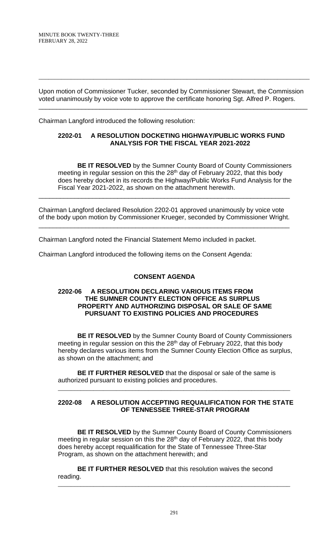Upon motion of Commissioner Tucker, seconded by Commissioner Stewart, the Commission voted unanimously by voice vote to approve the certificate honoring Sgt. Alfred P. Rogers.

\_\_\_\_\_\_\_\_\_\_\_\_\_\_\_\_\_\_\_\_\_\_\_\_\_\_\_\_\_\_\_\_\_\_\_\_\_\_\_\_\_\_\_\_\_\_\_\_\_\_\_\_\_\_\_\_\_\_\_\_\_\_\_\_\_\_\_\_\_\_\_\_\_\_\_

\_\_\_\_\_\_\_\_\_\_\_\_\_\_\_\_\_\_\_\_\_\_\_\_\_\_\_\_\_\_\_\_\_\_\_\_\_\_\_\_\_\_\_\_\_\_\_\_\_\_\_\_\_\_\_\_\_\_\_\_\_\_\_\_\_\_\_\_\_\_\_\_\_\_\_\_\_\_\_\_\_\_\_\_

Chairman Langford introduced the following resolution:

### **2202-01 A RESOLUTION DOCKETING HIGHWAY/PUBLIC WORKS FUND ANALYSIS FOR THE FISCAL YEAR 2021-2022**

**BE IT RESOLVED** by the Sumner County Board of County Commissioners meeting in regular session on this the 28<sup>th</sup> day of February 2022, that this body does hereby docket in its records the Highway/Public Works Fund Analysis for the Fiscal Year 2021-2022, as shown on the attachment herewith.

Chairman Langford declared Resolution 2202-01 approved unanimously by voice vote of the body upon motion by Commissioner Krueger, seconded by Commissioner Wright. \_\_\_\_\_\_\_\_\_\_\_\_\_\_\_\_\_\_\_\_\_\_\_\_\_\_\_\_\_\_\_\_\_\_\_\_\_\_\_\_\_\_\_\_\_\_\_\_\_\_\_\_\_\_\_\_\_\_\_\_\_\_\_\_\_\_\_\_\_\_

\_\_\_\_\_\_\_\_\_\_\_\_\_\_\_\_\_\_\_\_\_\_\_\_\_\_\_\_\_\_\_\_\_\_\_\_\_\_\_\_\_\_\_\_\_\_\_\_\_\_\_\_\_\_\_\_\_\_\_\_\_\_\_\_\_\_\_\_\_\_

Chairman Langford noted the Financial Statement Memo included in packet.

Chairman Langford introduced the following items on the Consent Agenda:

## **CONSENT AGENDA**

### **2202-06 A RESOLUTION DECLARING VARIOUS ITEMS FROM THE SUMNER COUNTY ELECTION OFFICE AS SURPLUS PROPERTY AND AUTHORIZING DISPOSAL OR SALE OF SAME PURSUANT TO EXISTING POLICIES AND PROCEDURES**

**BE IT RESOLVED** by the Sumner County Board of County Commissioners meeting in regular session on this the 28<sup>th</sup> day of February 2022, that this body hereby declares various items from the Sumner County Election Office as surplus, as shown on the attachment; and

**BE IT FURTHER RESOLVED** that the disposal or sale of the same is authorized pursuant to existing policies and procedures.

### **2202-08 A RESOLUTION ACCEPTING REQUALIFICATION FOR THE STATE OF TENNESSEE THREE-STAR PROGRAM**

\_\_\_\_\_\_\_\_\_\_\_\_\_\_\_\_\_\_\_\_\_\_\_\_\_\_\_\_\_\_\_\_\_\_\_\_\_\_\_\_\_\_\_\_\_\_\_\_\_\_\_\_\_\_\_\_\_\_\_\_\_\_\_\_\_\_\_\_\_\_\_\_

**BE IT RESOLVED** by the Sumner County Board of County Commissioners meeting in regular session on this the 28<sup>th</sup> day of February 2022, that this body does hereby accept requalification for the State of Tennessee Three-Star Program, as shown on the attachment herewith; and

**BE IT FURTHER RESOLVED** that this resolution waives the second reading.

\_\_\_\_\_\_\_\_\_\_\_\_\_\_\_\_\_\_\_\_\_\_\_\_\_\_\_\_\_\_\_\_\_\_\_\_\_\_\_\_\_\_\_\_\_\_\_\_\_\_\_\_\_\_\_\_\_\_\_\_\_\_\_\_\_\_\_\_\_\_\_\_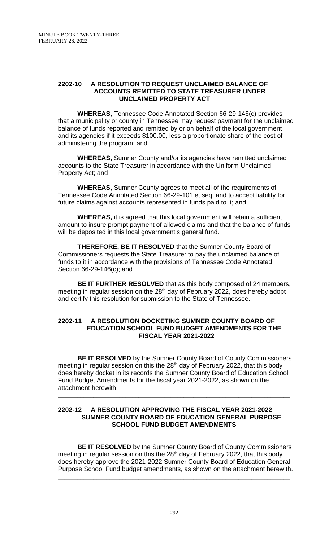#### **2202-10 A RESOLUTION TO REQUEST UNCLAIMED BALANCE OF ACCOUNTS REMITTED TO STATE TREASURER UNDER UNCLAIMED PROPERTY ACT**

**WHEREAS,** Tennessee Code Annotated Section 66-29-146(c) provides that a municipality or county in Tennessee may request payment for the unclaimed balance of funds reported and remitted by or on behalf of the local government and its agencies if it exceeds \$100.00, less a proportionate share of the cost of administering the program; and

**WHEREAS,** Sumner County and/or its agencies have remitted unclaimed accounts to the State Treasurer in accordance with the Uniform Unclaimed Property Act; and

**WHEREAS,** Sumner County agrees to meet all of the requirements of Tennessee Code Annotated Section 66-29-101 et seq. and to accept liability for future claims against accounts represented in funds paid to it; and

**WHEREAS,** it is agreed that this local government will retain a sufficient amount to insure prompt payment of allowed claims and that the balance of funds will be deposited in this local government's general fund.

**THEREFORE, BE IT RESOLVED** that the Sumner County Board of Commissioners requests the State Treasurer to pay the unclaimed balance of funds to it in accordance with the provisions of Tennessee Code Annotated Section 66-29-146(c); and

**BE IT FURTHER RESOLVED** that as this body composed of 24 members, meeting in regular session on the 28<sup>th</sup> day of February 2022, does hereby adopt and certify this resolution for submission to the State of Tennessee.

\_\_\_\_\_\_\_\_\_\_\_\_\_\_\_\_\_\_\_\_\_\_\_\_\_\_\_\_\_\_\_\_\_\_\_\_\_\_\_\_\_\_\_\_\_\_\_\_\_\_\_\_\_\_\_\_\_\_\_\_\_\_\_\_\_\_\_\_\_\_\_\_

### **2202-11 A RESOLUTION DOCKETING SUMNER COUNTY BOARD OF EDUCATION SCHOOL FUND BUDGET AMENDMENTS FOR THE FISCAL YEAR 2021-2022**

**BE IT RESOLVED** by the Sumner County Board of County Commissioners meeting in regular session on this the 28<sup>th</sup> day of February 2022, that this body does hereby docket in its records the Sumner County Board of Education School Fund Budget Amendments for the fiscal year 2021-2022, as shown on the attachment herewith.

\_\_\_\_\_\_\_\_\_\_\_\_\_\_\_\_\_\_\_\_\_\_\_\_\_\_\_\_\_\_\_\_\_\_\_\_\_\_\_\_\_\_\_\_\_\_\_\_\_\_\_\_\_\_\_\_\_\_\_\_\_\_\_\_\_\_\_\_\_\_\_\_

### **2202-12 A RESOLUTION APPROVING THE FISCAL YEAR 2021-2022 SUMNER COUNTY BOARD OF EDUCATION GENERAL PURPOSE SCHOOL FUND BUDGET AMENDMENTS**

**BE IT RESOLVED** by the Sumner County Board of County Commissioners meeting in regular session on this the 28<sup>th</sup> day of February 2022, that this body does hereby approve the 2021-2022 Sumner County Board of Education General Purpose School Fund budget amendments, as shown on the attachment herewith.

\_\_\_\_\_\_\_\_\_\_\_\_\_\_\_\_\_\_\_\_\_\_\_\_\_\_\_\_\_\_\_\_\_\_\_\_\_\_\_\_\_\_\_\_\_\_\_\_\_\_\_\_\_\_\_\_\_\_\_\_\_\_\_\_\_\_\_\_\_\_\_\_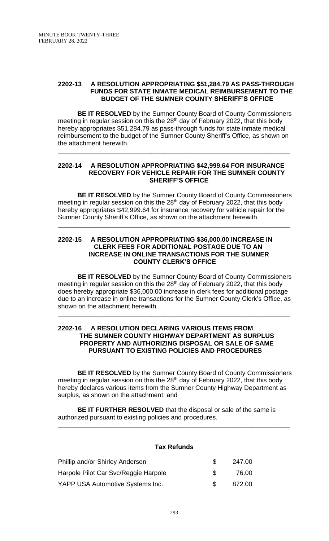#### **2202-13 A RESOLUTION APPROPRIATING \$51,284.79 AS PASS-THROUGH FUNDS FOR STATE INMATE MEDICAL REIMBURSEMENT TO THE BUDGET OF THE SUMNER COUNTY SHERIFF'S OFFICE**

**BE IT RESOLVED** by the Sumner County Board of County Commissioners meeting in regular session on this the 28<sup>th</sup> day of February 2022, that this body hereby appropriates \$51,284.79 as pass-through funds for state inmate medical reimbursement to the budget of the Sumner County Sheriff's Office, as shown on the attachment herewith.

\_\_\_\_\_\_\_\_\_\_\_\_\_\_\_\_\_\_\_\_\_\_\_\_\_\_\_\_\_\_\_\_\_\_\_\_\_\_\_\_\_\_\_\_\_\_\_\_\_\_\_\_\_\_\_\_\_\_\_\_\_\_\_\_\_\_\_\_\_\_\_\_

#### **2202-14 A RESOLUTION APPROPRIATING \$42,999.64 FOR INSURANCE RECOVERY FOR VEHICLE REPAIR FOR THE SUMNER COUNTY SHERIFF'S OFFICE**

**BE IT RESOLVED** by the Sumner County Board of County Commissioners meeting in regular session on this the 28<sup>th</sup> day of February 2022, that this body hereby appropriates \$42,999.64 for insurance recovery for vehicle repair for the Sumner County Sheriff's Office, as shown on the attachment herewith.

\_\_\_\_\_\_\_\_\_\_\_\_\_\_\_\_\_\_\_\_\_\_\_\_\_\_\_\_\_\_\_\_\_\_\_\_\_\_\_\_\_\_\_\_\_\_\_\_\_\_\_\_\_\_\_\_\_\_\_\_\_\_\_\_\_\_\_\_\_\_\_\_

### **2202-15 A RESOLUTION APPROPRIATING \$36,000.00 INCREASE IN CLERK FEES FOR ADDITIONAL POSTAGE DUE TO AN INCREASE IN ONLINE TRANSACTIONS FOR THE SUMNER COUNTY CLERK'S OFFICE**

**BE IT RESOLVED** by the Sumner County Board of County Commissioners meeting in regular session on this the 28<sup>th</sup> day of February 2022, that this body does hereby appropriate \$36,000.00 increase in clerk fees for additional postage due to an increase in online transactions for the Sumner County Clerk's Office, as shown on the attachment herewith.

\_\_\_\_\_\_\_\_\_\_\_\_\_\_\_\_\_\_\_\_\_\_\_\_\_\_\_\_\_\_\_\_\_\_\_\_\_\_\_\_\_\_\_\_\_\_\_\_\_\_\_\_\_\_\_\_\_\_\_\_\_\_\_\_\_\_\_\_\_\_\_\_

#### **2202-16 A RESOLUTION DECLARING VARIOUS ITEMS FROM THE SUMNER COUNTY HIGHWAY DEPARTMENT AS SURPLUS PROPERTY AND AUTHORIZING DISPOSAL OR SALE OF SAME PURSUANT TO EXISTING POLICIES AND PROCEDURES**

**BE IT RESOLVED** by the Sumner County Board of County Commissioners meeting in regular session on this the 28<sup>th</sup> day of February 2022, that this body hereby declares various items from the Sumner County Highway Department as surplus, as shown on the attachment; and

**BE IT FURTHER RESOLVED** that the disposal or sale of the same is authorized pursuant to existing policies and procedures.

## **Tax Refunds**

\_\_\_\_\_\_\_\_\_\_\_\_\_\_\_\_\_\_\_\_\_\_\_\_\_\_\_\_\_\_\_\_\_\_\_\_\_\_\_\_\_\_\_\_\_\_\_\_\_\_\_\_\_\_\_\_\_\_\_\_\_\_\_\_\_\_\_\_\_\_\_\_

| Phillip and/or Shirley Anderson      | SS.           | 247.00 |
|--------------------------------------|---------------|--------|
| Harpole Pilot Car Svc/Reggie Harpole | $\mathcal{F}$ | 76.00  |
| YAPP USA Automotive Systems Inc.     | $\mathcal{S}$ | 872.00 |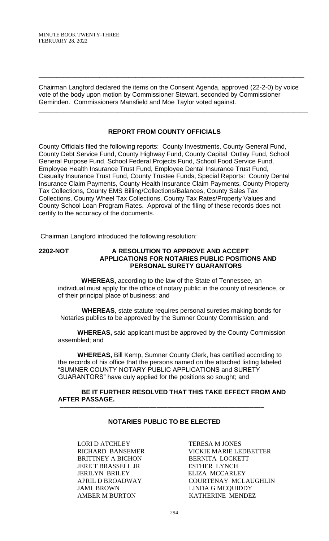Chairman Langford declared the items on the Consent Agenda, approved (22-2-0) by voice vote of the body upon motion by Commissioner Stewart, seconded by Commissioner Geminden. Commissioners Mansfield and Moe Taylor voted against.

\_\_\_\_\_\_\_\_\_\_\_\_\_\_\_\_\_\_\_\_\_\_\_\_\_\_\_\_\_\_\_\_\_\_\_\_\_\_\_\_\_\_\_\_\_\_\_\_\_\_\_\_\_\_\_\_\_\_\_\_\_\_\_\_\_\_\_\_\_\_\_\_\_\_\_

\_\_\_\_\_\_\_\_\_\_\_\_\_\_\_\_\_\_\_\_\_\_\_\_\_\_\_\_\_\_\_\_\_\_\_\_\_\_\_\_\_\_\_\_\_\_\_\_\_\_\_\_\_\_\_\_\_\_\_\_\_\_\_\_\_\_\_\_\_\_\_\_\_\_

## **REPORT FROM COUNTY OFFICIALS**

County Officials filed the following reports: County Investments, County General Fund, County Debt Service Fund, County Highway Fund, County Capital Outlay Fund, School General Purpose Fund, School Federal Projects Fund, School Food Service Fund, Employee Health Insurance Trust Fund, Employee Dental Insurance Trust Fund, Casualty Insurance Trust Fund, County Trustee Funds, Special Reports: County Dental Insurance Claim Payments, County Health Insurance Claim Payments, County Property Tax Collections, County EMS Billing/Collections/Balances, County Sales Tax Collections, County Wheel Tax Collections, County Tax Rates/Property Values and County School Loan Program Rates. Approval of the filing of these records does not certify to the accuracy of the documents.

Chairman Langford introduced the following resolution:

### **2202-NOT A RESOLUTION TO APPROVE AND ACCEPT APPLICATIONS FOR NOTARIES PUBLIC POSITIONS AND PERSONAL SURETY GUARANTORS**

 **WHEREAS,** according to the law of the State of Tennessee, an individual must apply for the office of notary public in the county of residence, or of their principal place of business; and

 **WHEREAS**, state statute requires personal sureties making bonds for Notaries publics to be approved by the Sumner County Commission; and

**WHEREAS,** said applicant must be approved by the County Commission assembled; and

**WHEREAS,** Bill Kemp, Sumner County Clerk, has certified according to the records of his office that the persons named on the attached listing labeled "SUMNER COUNTY NOTARY PUBLIC APPLICATIONS and SURETY GUARANTORS" have duly applied for the positions so sought; and

### **BE IT FURTHER RESOLVED THAT THIS TAKE EFFECT FROM AND AFTER PASSAGE.**

# **NOTARIES PUBLIC TO BE ELECTED**

 **–––––––––––––––––––––––––––––––––––––––––––––––––––––––––**

LORI D ATCHLEY TERESA M JONES BRITTNEY A BICHON BERNITA LOCKETT JERE T BRASSELL JR ESTHER LYNCH JERILYN BRILEY ELIZA MCCARLEY JAMI BROWN LINDA G MCOUIDDY

RICHARD BANSEMER VICKIE MARIE LEDBETTER APRIL D BROADWAY COURTENAY MCLAUGHLIN AMBER M BURTON KATHERINE MENDEZ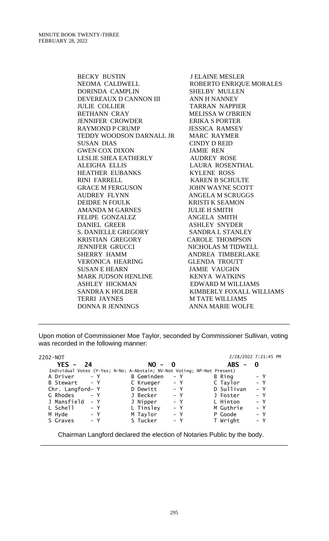BECKY BUSTIN JELAINE MESLER NEOMA CALDWELL ROBERTO ENRIQUE MORALES DORINDA CAMPLIN SHELBY MULLEN DEVEREAUX D CANNON III ANN H NANNEY JULIE COLLIER TARRAN NAPPIER BETHANN CRAY MELISSA WO'BRIEN JENNIFER CROWDER ERIKA S PORTER RAYMOND P CRUMP JESSICA RAMSEY TEDDY WOODSON DARNALL JR MARC RAYMER SUSAN DIAS CINDY D REID GWEN COX DIXON JAMIE REN LESLIE SHEA EATHERLY AUDREY ROSE ALEIGHA ELLIS LAURA ROSENTHAL HEATHER EUBANKS KYLENE ROSS RINI FARRELL KAREN B SCHULTE GRACE M FERGUSON JOHN WAYNE SCOTT AUDREY FLYNN ANGELA M SCRUGGS DEIDRE N FOULK KRISTI K SEAMON AMANDA M GARNES JULIE H SMITH FELIPE GONZALEZ ANGELA SMITH DANIEL GREER ASHLEY SNYDER S. DANIELLE GREGORY SANDRA L STANLEY KRISTIAN GREGORY CAROLE THOMPSON JENNIFER GRUCCI NICHOLAS M TIDWELL SHERRY HAMM ANDREA TIMBERLAKE VERONICA HEARING GLENDA TROUTT SUSAN E HEARN JAMIE VAUGHN MARK JUDSON HENLINE KENYA WATKINS ASHLEY HICKMAN EDWARD M WILLIAMS TERRI JAYNES M TATE WILLIAMS

SANDRA K HOLDER KIMBERLY FOXALL WILLIAMS DONNA R JENNINGS ANNA MARIE WOLFE

Upon motion of Commissioner Moe Taylor, seconded by Commissioner Sullivan, voting was recorded in the following manner:

\_\_\_\_\_\_\_\_\_\_\_\_\_\_\_\_\_\_\_\_\_\_\_\_\_\_\_\_\_\_\_\_\_\_\_\_\_\_\_\_\_\_\_\_\_\_\_\_\_\_\_\_\_\_\_\_\_\_\_\_\_\_\_\_\_\_\_\_\_\_

| 2202-NOT         |                                                                          |            |       | 2/28/2022 7:21:45 PM              |       |  |
|------------------|--------------------------------------------------------------------------|------------|-------|-----------------------------------|-------|--|
| YES -<br>24      |                                                                          | $NO -$     | - 0   | ABS .<br>$\overline{\phantom{0}}$ |       |  |
|                  | Individual Votes (Y-Yes; N-No; A-Abstain; NV-Not Voting; NP-Not Present) |            |       |                                   |       |  |
| A Driver         | $- Y$                                                                    | B Geminden | – Y   | B Ring                            | – Y   |  |
| B Stewart        | $- Y$                                                                    | C Krueger  | $- Y$ | C Taylor                          | – Y   |  |
| Chr. Langford- Y |                                                                          | D Dewitt   | $- Y$ | D Sullivan                        | $- Y$ |  |
| G Rhodes         | $- Y$                                                                    | J Becker   | $- Y$ | J Foster                          | $- Y$ |  |
| J Mansfield      | – Y                                                                      | J Nipper   | $- Y$ | L Hinton                          | $- Y$ |  |
| L Schell         | – Y                                                                      | L Tinsley  | $- Y$ | M Guthrie                         | $- Y$ |  |
| M Hyde           | – Y                                                                      | M Taylor   | $- Y$ | P Goode                           | $- Y$ |  |
| S Graves         | – Y                                                                      | S Tucker   | – Y   | T Wright                          | – Y   |  |
|                  |                                                                          |            |       |                                   |       |  |

Chairman Langford declared the election of Notaries Public by the body.

\_\_\_\_\_\_\_\_\_\_\_\_\_\_\_\_\_\_\_\_\_\_\_\_\_\_\_\_\_\_\_\_\_\_\_\_\_\_\_\_\_\_\_\_\_\_\_\_\_\_\_\_\_\_\_\_\_\_\_\_\_\_\_\_\_\_\_\_\_

#### 295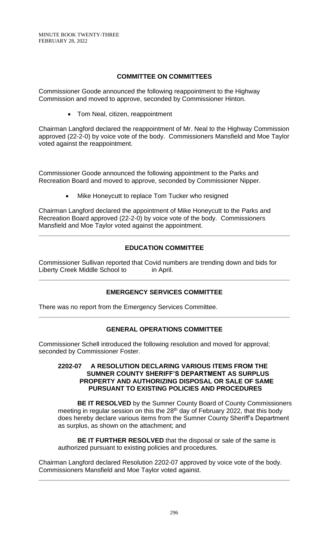# **COMMITTEE ON COMMITTEES**

Commissioner Goode announced the following reappointment to the Highway Commission and moved to approve, seconded by Commissioner Hinton.

• Tom Neal, citizen, reappointment

Chairman Langford declared the reappointment of Mr. Neal to the Highway Commission approved (22-2-0) by voice vote of the body. Commissioners Mansfield and Moe Taylor voted against the reappointment.

Commissioner Goode announced the following appointment to the Parks and Recreation Board and moved to approve, seconded by Commissioner Nipper.

Mike Honeycutt to replace Tom Tucker who resigned

Chairman Langford declared the appointment of Mike Honeycutt to the Parks and Recreation Board approved (22-2-0) by voice vote of the body. Commissioners Mansfield and Moe Taylor voted against the appointment.

# **EDUCATION COMMITTEE**

**\_\_\_\_\_\_\_\_\_\_\_\_\_\_\_\_\_\_\_\_\_\_\_\_\_\_\_\_\_\_\_\_\_\_\_\_\_\_\_\_\_\_\_\_\_\_\_\_\_\_\_\_\_\_\_\_\_\_\_\_\_\_\_\_\_\_\_\_\_\_**

Commissioner Sullivan reported that Covid numbers are trending down and bids for Liberty Creek Middle School to in April.

# **EMERGENCY SERVICES COMMITTEE**

**\_\_\_\_\_\_\_\_\_\_\_\_\_\_\_\_\_\_\_\_\_\_\_\_\_\_\_\_\_\_\_\_\_\_\_\_\_\_\_\_\_\_\_\_\_\_\_\_\_\_\_\_\_\_\_\_\_\_\_\_\_\_\_\_\_\_\_\_\_\_**

There was no report from the Emergency Services Committee.

# **GENERAL OPERATIONS COMMITTEE**

**\_\_\_\_\_\_\_\_\_\_\_\_\_\_\_\_\_\_\_\_\_\_\_\_\_\_\_\_\_\_\_\_\_\_\_\_\_\_\_\_\_\_\_\_\_\_\_\_\_\_\_\_\_\_\_\_\_\_\_\_\_\_\_\_\_\_\_\_\_\_**

Commissioner Schell introduced the following resolution and moved for approval; seconded by Commissioner Foster.

#### **2202-07 A RESOLUTION DECLARING VARIOUS ITEMS FROM THE SUMNER COUNTY SHERIFF'S DEPARTMENT AS SURPLUS PROPERTY AND AUTHORIZING DISPOSAL OR SALE OF SAME PURSUANT TO EXISTING POLICIES AND PROCEDURES**

**BE IT RESOLVED** by the Sumner County Board of County Commissioners meeting in regular session on this the 28<sup>th</sup> day of February 2022, that this body does hereby declare various items from the Sumner County Sheriff's Department as surplus, as shown on the attachment; and

**BE IT FURTHER RESOLVED** that the disposal or sale of the same is authorized pursuant to existing policies and procedures.

Chairman Langford declared Resolution 2202-07 approved by voice vote of the body. Commissioners Mansfield and Moe Taylor voted against.

**\_\_\_\_\_\_\_\_\_\_\_\_\_\_\_\_\_\_\_\_\_\_\_\_\_\_\_\_\_\_\_\_\_\_\_\_\_\_\_\_\_\_\_\_\_\_\_\_\_\_\_\_\_\_\_\_\_\_\_\_\_\_\_\_\_\_\_\_\_\_**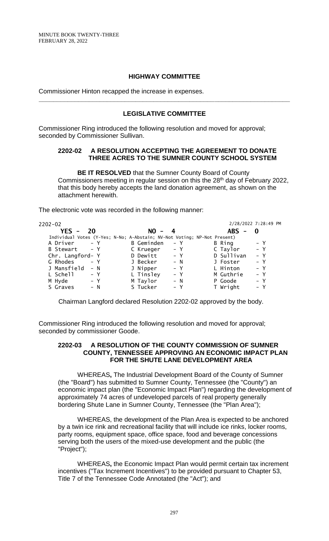### **HIGHWAY COMMITTEE**

Commissioner Hinton recapped the increase in expenses.

### **LEGISLATIVE COMMITTEE**

**\_\_\_\_\_\_\_\_\_\_\_\_\_\_\_\_\_\_\_\_\_\_\_\_\_\_\_\_\_\_\_\_\_\_\_\_\_\_\_\_\_\_\_\_\_\_\_\_\_\_\_\_\_\_\_\_\_\_\_\_\_\_\_\_\_\_\_\_\_\_**

Commissioner Ring introduced the following resolution and moved for approval; seconded by Commissioner Sullivan.

#### **2202-02 A RESOLUTION ACCEPTING THE AGREEMENT TO DONATE THREE ACRES TO THE SUMNER COUNTY SCHOOL SYSTEM**

**BE IT RESOLVED** that the Sumner County Board of County Commissioners meeting in regular session on this the 28<sup>th</sup> day of February 2022, that this body hereby accepts the land donation agreement, as shown on the attachment herewith.

The electronic vote was recorded in the following manner:

| 2202-02 |                  |                                                                          |          |                   |       |       | 2/28/2022 7:28:49 PM |       |  |
|---------|------------------|--------------------------------------------------------------------------|----------|-------------------|-------|-------|----------------------|-------|--|
|         | $YES -$          | 20                                                                       |          | $NO - 4$          |       |       | $ABS -$              | - 0   |  |
|         |                  | Individual Votes (Y-Yes; N-No; A-Abstain; NV-Not Voting; NP-Not Present) |          |                   |       |       |                      |       |  |
|         | A Driver         | $- Y$                                                                    |          | <b>B</b> Geminden | – Y   |       | B Ring               | – Y   |  |
|         | B Stewart - Y    |                                                                          |          | C Krueger         |       | $- Y$ | C Taylor             | $- Y$ |  |
|         | Chr. Langford- Y |                                                                          |          | D Dewitt          |       | – Y   | D Sullivan           | $- Y$ |  |
|         | G Rhodes         | $- Y$                                                                    | J Becker |                   |       | $- N$ | J Foster             | $- Y$ |  |
|         | J Mansfield      | $- N$                                                                    | J Nipper |                   |       | $- Y$ | L Hinton             | $- Y$ |  |
|         | L Schell         | – Y                                                                      |          | L Tinsley         |       | $- Y$ | M Guthrie            | $- Y$ |  |
| M Hyde  |                  | $- Y$                                                                    | M Taylor |                   |       | $- N$ | P Goode              | $- Y$ |  |
|         | S Graves         | $- N$                                                                    | S Tucker |                   | $- Y$ |       | T Wright             | $- Y$ |  |
|         |                  |                                                                          |          |                   |       |       |                      |       |  |

Chairman Langford declared Resolution 2202-02 approved by the body.

Commissioner Ring introduced the following resolution and moved for approval; seconded by commissioner Goode.

### **2202-03 A RESOLUTION OF THE COUNTY COMMISSION OF SUMNER COUNTY, TENNESSEE APPROVING AN ECONOMIC IMPACT PLAN FOR THE SHUTE LANE DEVELOPMENT AREA**

WHEREAS**,** The Industrial Development Board of the County of Sumner (the "Board") has submitted to Sumner County, Tennessee (the "County") an economic impact plan (the "Economic Impact Plan") regarding the development of approximately 74 acres of undeveloped parcels of real property generally bordering Shute Lane in Sumner County, Tennessee (the "Plan Area");

WHEREAS, the development of the Plan Area is expected to be anchored by a twin ice rink and recreational facility that will include ice rinks, locker rooms, party rooms, equipment space, office space, food and beverage concessions serving both the users of the mixed-use development and the public (the "Project");

WHEREAS**,** the Economic Impact Plan would permit certain tax increment incentives ("Tax Increment Incentives") to be provided pursuant to Chapter 53, Title 7 of the Tennessee Code Annotated (the "Act"); and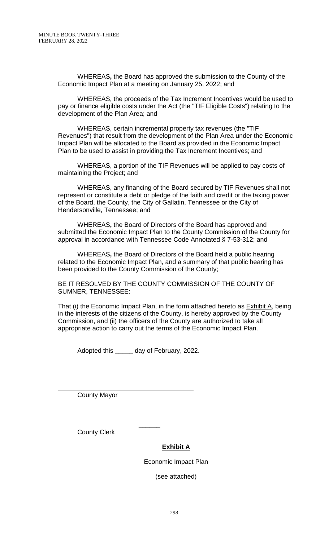WHEREAS**,** the Board has approved the submission to the County of the Economic Impact Plan at a meeting on January 25, 2022; and

WHEREAS, the proceeds of the Tax Increment Incentives would be used to pay or finance eligible costs under the Act (the "TIF Eligible Costs") relating to the development of the Plan Area; and

WHEREAS, certain incremental property tax revenues (the "TIF Revenues") that result from the development of the Plan Area under the Economic Impact Plan will be allocated to the Board as provided in the Economic Impact Plan to be used to assist in providing the Tax Increment Incentives; and

WHEREAS, a portion of the TIF Revenues will be applied to pay costs of maintaining the Project; and

WHEREAS, any financing of the Board secured by TIF Revenues shall not represent or constitute a debt or pledge of the faith and credit or the taxing power of the Board, the County, the City of Gallatin, Tennessee or the City of Hendersonville, Tennessee; and

WHEREAS**,** the Board of Directors of the Board has approved and submitted the Economic Impact Plan to the County Commission of the County for approval in accordance with Tennessee Code Annotated § 7-53-312; and

WHEREAS**,** the Board of Directors of the Board held a public hearing related to the Economic Impact Plan, and a summary of that public hearing has been provided to the County Commission of the County;

BE IT RESOLVED BY THE COUNTY COMMISSION OF THE COUNTY OF SUMNER, TENNESSEE:

That (i) the Economic Impact Plan, in the form attached hereto as Exhibit A, being in the interests of the citizens of the County, is hereby approved by the County Commission, and (ii) the officers of the County are authorized to take all appropriate action to carry out the terms of the Economic Impact Plan.

Adopted this \_\_\_\_\_ day of February, 2022.

County Mayor

l

 $\mathcal{L}=\mathcal{L}=\mathcal{L}=\mathcal{L}=\mathcal{L}=\mathcal{L}=\mathcal{L}=\mathcal{L}=\mathcal{L}=\mathcal{L}=\mathcal{L}=\mathcal{L}=\mathcal{L}=\mathcal{L}=\mathcal{L}=\mathcal{L}=\mathcal{L}=\mathcal{L}=\mathcal{L}=\mathcal{L}=\mathcal{L}=\mathcal{L}=\mathcal{L}=\mathcal{L}=\mathcal{L}=\mathcal{L}=\mathcal{L}=\mathcal{L}=\mathcal{L}=\mathcal{L}=\mathcal{L}=\mathcal{L}=\mathcal{L}=\mathcal{L}=\mathcal{L}=\mathcal{L}=\mathcal{$ County Clerk

# **Exhibit A**

Economic Impact Plan

(see attached)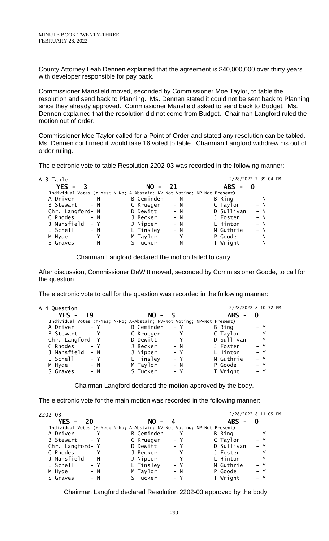County Attorney Leah Dennen explained that the agreement is \$40,000,000 over thirty years with developer responsible for pay back.

Commissioner Mansfield moved, seconded by Commissioner Moe Taylor, to table the resolution and send back to Planning. Ms. Dennen stated it could not be sent back to Planning since they already approved. Commissioner Mansfield asked to send back to Budget. Ms. Dennen explained that the resolution did not come from Budget. Chairman Langford ruled the motion out of order.

Commissioner Moe Taylor called for a Point of Order and stated any resolution can be tabled. Ms. Dennen confirmed it would take 16 voted to table. Chairman Langford withdrew his out of order ruling.

The electronic vote to table Resolution 2202-03 was recorded in the following manner:

| A 3 Table        |                                                                          |                   |       |                 | 2/28/2022 7:39:04 PM |
|------------------|--------------------------------------------------------------------------|-------------------|-------|-----------------|----------------------|
| $YES -$<br>3     |                                                                          | $NO -$            | 21    | <b>ABS</b><br>- |                      |
|                  | Individual Votes (Y-Yes; N-No; A-Abstain; NV-Not Voting; NP-Not Present) |                   |       |                 |                      |
| A Driver         | $- N$                                                                    | <b>B</b> Geminden | $- N$ | B Ring          | $- N$                |
| B Stewart        | $- N$                                                                    | C Krueger         | $- N$ | C Taylor        | $- N$                |
| Chr. Langford- N |                                                                          | D Dewitt          | $- N$ | D Sullivan      | $- N$                |
| G Rhodes         | $- N$                                                                    | J Becker          | $- N$ | J Foster        | $- N$                |
| J Mansfield      | – Y                                                                      | J Nipper          | $- N$ | L Hinton        | $- N$                |
| L Schell         | $- N$                                                                    | L Tinsley         | $- N$ | M Guthrie       | $- N$                |
| M Hyde           | $- Y$                                                                    | M Taylor          | $- Y$ | P Goode         | $- N$                |
| S Graves         | $- N$                                                                    | S Tucker          | $- N$ | T Wright        | $- N$                |

Chairman Langford declared the motion failed to carry.

After discussion, Commissioner DeWitt moved, seconded by Commissioner Goode, to call for the question.

The electronic vote to call for the question was recorded in the following manner:

| A 4 Question     |       |                                                                          |       |                                        | 2/28/2022 8:10:32 PM |  |
|------------------|-------|--------------------------------------------------------------------------|-------|----------------------------------------|----------------------|--|
| $YES -$<br>- 19  |       | $NO -$                                                                   | 5     | <b>ABS</b><br>$\overline{\phantom{m}}$ | - 0                  |  |
|                  |       | Individual Votes (Y-Yes; N-No; A-Abstain; NV-Not Voting; NP-Not Present) |       |                                        |                      |  |
| A Driver         | $- Y$ | <b>B</b> Geminden                                                        | $- Y$ | B Ring                                 | – Y                  |  |
| B Stewart        | $- Y$ | C Krueger                                                                | $- Y$ | C Taylor                               | $- Y$                |  |
| Chr. Langford- Y |       | D Dewitt                                                                 | $- Y$ | D Sullivan                             | $- Y$                |  |
| G Rhodes         | $- Y$ | J Becker                                                                 | $- N$ | J Foster                               | – Y                  |  |
| J Mansfield      | $- N$ | J Nipper                                                                 | $- Y$ | L Hinton                               | $- Y$                |  |
| L Schell         | $- Y$ | L Tinsley                                                                | $- Y$ | M Guthrie                              | $- Y$                |  |
| M Hyde           | $- N$ | M Taylor                                                                 | $- N$ | P Goode                                | $- Y$                |  |
| S Graves         | $- N$ | S Tucker                                                                 | – Y   | T Wright                               | $- Y$                |  |
|                  |       |                                                                          |       |                                        |                      |  |

Chairman Langford declared the motion approved by the body.

The electronic vote for the main motion was recorded in the following manner:

| 2202-03          |       |                                                                          |       |                                        | 2/28/2022 8:11:05 PM |
|------------------|-------|--------------------------------------------------------------------------|-------|----------------------------------------|----------------------|
| $YES - 20$       |       | $NO -$                                                                   | 4     | <b>ABS</b><br>$\overline{\phantom{0}}$ | - 0                  |
|                  |       | Individual Votes (Y-Yes; N-No; A-Abstain; NV-Not Voting; NP-Not Present) |       |                                        |                      |
| A Driver         | $- Y$ | <b>B</b> Geminden                                                        | $- Y$ | B Ring                                 | $- Y$                |
| B Stewart - Y    |       | C Krueger                                                                | $- Y$ | C Taylor                               | $- Y$                |
| Chr. Langford- Y |       | D Dewitt                                                                 | $- Y$ | D Sullivan                             | $- Y$                |
| G Rhodes         | $- Y$ | J Becker                                                                 | $- Y$ | J Foster                               | $- Y$                |
| J Mansfield      | $- N$ | J Nipper                                                                 | $- Y$ | L Hinton                               | $- Y$                |
| L Schell         | – Y   | L Tinsley                                                                | $- Y$ | M Guthrie                              | $- Y$                |
| M Hyde           | $- N$ | M Taylor                                                                 | $- N$ | P Goode                                | $- Y$                |
| S Graves         | $- N$ | S Tucker                                                                 | $- Y$ | T Wright                               | $- Y$                |

Chairman Langford declared Resolution 2202-03 approved by the body.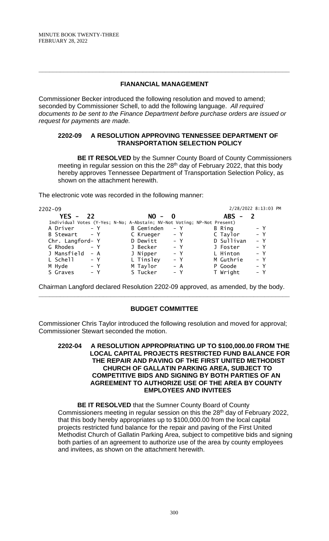### **FIANANCIAL MANAGEMENT**

**\_\_\_\_\_\_\_\_\_\_\_\_\_\_\_\_\_\_\_\_\_\_\_\_\_\_\_\_\_\_\_\_\_\_\_\_\_\_\_\_\_\_\_\_\_\_\_\_\_\_\_\_\_\_\_\_\_\_\_\_\_\_\_\_\_\_\_\_\_\_**

Commissioner Becker introduced the following resolution and moved to amend; seconded by Commissioner Schell, to add the following language. *All required documents to be sent to the Finance Department before purchase orders are issued or request for payments are made.*

#### **2202-09 A RESOLUTION APPROVING TENNESSEE DEPARTMENT OF TRANSPORTATION SELECTION POLICY**

**BE IT RESOLVED** by the Sumner County Board of County Commissioners meeting in regular session on this the 28<sup>th</sup> day of February 2022, that this body hereby approves Tennessee Department of Transportation Selection Policy, as shown on the attachment herewith.

The electronic vote was recorded in the following manner:

| 2202-09          |       |                                                                          |       |            | 2/28/2022 8:13:03 PM |
|------------------|-------|--------------------------------------------------------------------------|-------|------------|----------------------|
| YES $-$          | 22    | $NO -$<br>$\overline{\mathbf{0}}$                                        |       | $ABS -$    |                      |
|                  |       | Individual Votes (Y-Yes; N-No; A-Abstain; NV-Not Voting; NP-Not Present) |       |            |                      |
| A Driver         | $- Y$ | <b>B</b> Geminden                                                        | $- Y$ | B Ring     | – Y                  |
| B Stewart - Y    |       | C Krueger                                                                | $- Y$ | C Taylor   | $- Y$                |
| Chr. Langford- Y |       | D Dewitt                                                                 | – Y   | D Sullivan | $- Y$                |
| G Rhodes         | $- Y$ | J Becker                                                                 | $- Y$ | J Foster   | $- Y$                |
| J Mansfield      | $- A$ | J Nipper                                                                 | $- Y$ | L Hinton   | $- Y$                |
| L Schell         | – Y   | L Tinsley                                                                | $- Y$ | M Guthrie  | $- Y$                |
| M Hyde           | $- Y$ | M Taylor                                                                 | $- A$ | P Goode    | $- Y$                |
| S Graves         | – Y   | S Tucker                                                                 | – Y   | T Wright   | $- Y$                |
|                  |       |                                                                          |       |            |                      |

Chairman Langford declared Resolution 2202-09 approved, as amended, by the body. **\_\_\_\_\_\_\_\_\_\_\_\_\_\_\_\_\_\_\_\_\_\_\_\_\_\_\_\_\_\_\_\_\_\_\_\_\_\_\_\_\_\_\_\_\_\_\_\_\_\_\_\_\_\_\_\_\_\_\_\_\_\_\_\_\_\_\_\_\_\_**

## **BUDGET COMMITTEE**

Commissioner Chris Taylor introduced the following resolution and moved for approval; Commissioner Stewart seconded the motion.

#### **2202-04 A RESOLUTION APPROPRIATING UP TO \$100,000.00 FROM THE LOCAL CAPITAL PROJECTS RESTRICTED FUND BALANCE FOR THE REPAIR AND PAVING OF THE FIRST UNITED METHODIST CHURCH OF GALLATIN PARKING AREA, SUBJECT TO COMPETITIVE BIDS AND SIGNING BY BOTH PARTIES OF AN AGREEMENT TO AUTHORIZE USE OF THE AREA BY COUNTY EMPLOYEES AND INVITEES**

**BE IT RESOLVED** that the Sumner County Board of County Commissioners meeting in regular session on this the 28<sup>th</sup> day of February 2022, that this body hereby appropriates up to \$100,000.00 from the local capital projects restricted fund balance for the repair and paving of the First United Methodist Church of Gallatin Parking Area, subject to competitive bids and signing both parties of an agreement to authorize use of the area by county employees and invitees, as shown on the attachment herewith.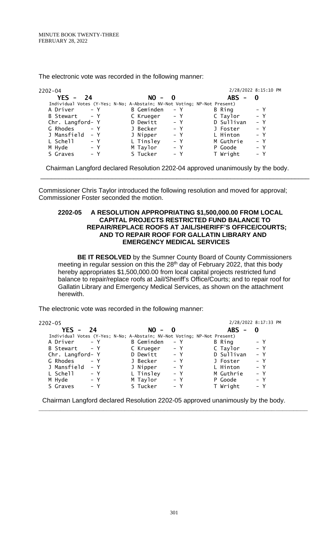The electronic vote was recorded in the following manner:

| $2202 - 04$                                                              |                   |       |            | 2/28/2022 8:15:10 PM |
|--------------------------------------------------------------------------|-------------------|-------|------------|----------------------|
| $YES - 24$                                                               | $NO - 0$          |       | $ABS -$    | - 0                  |
| Individual Votes (Y-Yes; N-No; A-Abstain; NV-Not Voting; NP-Not Present) |                   |       |            |                      |
| $- Y$<br>A Driver                                                        | <b>B</b> Geminden | $- Y$ | B Ring     | $- Y$                |
| B Stewart - Y                                                            | C Krueger         | – Y   | C Taylor   | $- Y$                |
| Chr. Langford- Y                                                         | D Dewitt          | $- Y$ | D Sullivan | $- Y$                |
| G Rhodes<br>$- Y$                                                        | J Becker          | $- Y$ | J Foster   | $- Y$                |
| J Mansfield<br>$- Y$                                                     | J Nipper          | $- Y$ | L Hinton   | $- Y$                |
| L Schell<br>$- Y$                                                        | L Tinsley         | $- Y$ | M Guthrie  | $- Y$                |
| M Hyde<br>$- Y$                                                          | M Taylor          | – Y   | P Goode    | $- Y$                |
| S Graves<br>$- Y$                                                        | S Tucker          | – Y   | T Wright   | $- Y$                |

Chairman Langford declared Resolution 2202-04 approved unanimously by the body.

\_\_\_\_\_\_\_\_\_\_\_\_\_\_\_\_\_\_\_\_\_\_\_\_\_\_\_\_\_\_\_\_\_\_\_\_\_\_\_\_\_\_\_\_\_\_\_\_\_\_\_\_\_\_\_\_\_\_\_\_\_\_\_\_\_\_\_\_\_\_\_\_\_\_\_

Commissioner Chris Taylor introduced the following resolution and moved for approval; Commissioner Foster seconded the motion.

#### **2202-05 A RESOLUTION APPROPRIATING \$1,500,000.00 FROM LOCAL CAPITAL PROJECTS RESTRICTED FUND BALANCE TO REPAIR/REPLACE ROOFS AT JAIL/SHERIFF'S OFFICE/COURTS; AND TO REPAIR ROOF FOR GALLATIN LIBRARY AND EMERGENCY MEDICAL SERVICES**

**BE IT RESOLVED** by the Sumner County Board of County Commissioners meeting in regular session on this the 28<sup>th</sup> day of February 2022, that this body hereby appropriates \$1,500,000.00 from local capital projects restricted fund balance to repair/replace roofs at Jail/Sheriff's Office/Courts; and to repair roof for Gallatin Library and Emergency Medical Services, as shown on the attachment herewith.

The electronic vote was recorded in the following manner:

| 2202-05                                                                  |       |                   |       |        | 2/28/2022 8:17:33 PM |              |  |
|--------------------------------------------------------------------------|-------|-------------------|-------|--------|----------------------|--------------|--|
| YES -<br>- 24                                                            |       | $NO - 0$          |       |        | $ABS -$              | $\mathbf{0}$ |  |
| Individual Votes (Y-Yes; N-No; A-Abstain; NV-Not Voting; NP-Not Present) |       |                   |       |        |                      |              |  |
| A Driver                                                                 | $- Y$ | <b>B</b> Geminden | – Y   | B Ring |                      | $- Y$        |  |
| B Stewart                                                                | $- Y$ | C Krueger         | $- Y$ |        | C Taylor             | $- Y$        |  |
| Chr. Langford- Y                                                         |       | D Dewitt          | $- Y$ |        | D Sullivan           | $- Y$        |  |
| G Rhodes                                                                 | $- Y$ | J Becker          | $- Y$ |        | J Foster             | $- Y$        |  |
| J Mansfield                                                              | – Y   | J Nipper          | $- Y$ |        | L Hinton             | $- Y$        |  |
| L Schell                                                                 | – Y   | L Tinsley         | $- Y$ |        | M Guthrie            | – Y          |  |
| M Hyde                                                                   | $- Y$ | M Taylor          | $- Y$ |        | P Goode              | $- Y$        |  |
| S Graves                                                                 | – Y   | S Tucker          | $- Y$ |        | T Wright             | $- Y$        |  |
|                                                                          |       |                   |       |        |                      |              |  |

Chairman Langford declared Resolution 2202-05 approved unanimously by the body.

**\_\_\_\_\_\_\_\_\_\_\_\_\_\_\_\_\_\_\_\_\_\_\_\_\_\_\_\_\_\_\_\_\_\_\_\_\_\_\_\_\_\_\_\_\_\_\_\_\_\_\_\_\_\_\_\_\_\_\_\_\_\_\_\_\_\_\_\_\_\_\_\_\_\_\_**